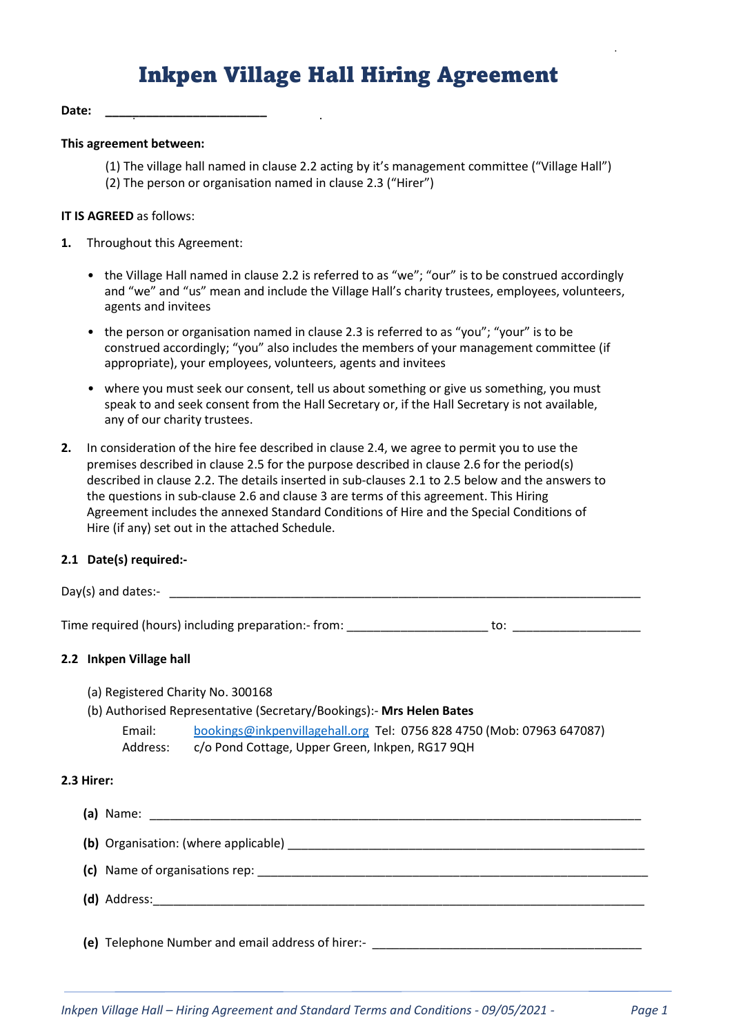# Inkpen Village Hall Hiring Agreement

#### Date:

#### This agreement between:

(1) The village hall named in clause 2.2 acting by it's management committee ("Village Hall") (2) The person or organisation named in clause 2.3 ("Hirer")

#### IT IS AGREED as follows:

- 1. Throughout this Agreement:
	- the Village Hall named in clause 2.2 is referred to as "we"; "our" is to be construed accordingly and "we" and "us" mean and include the Village Hall's charity trustees, employees, volunteers, agents and invitees
	- the person or organisation named in clause 2.3 is referred to as "you"; "your" is to be construed accordingly; "you" also includes the members of your management committee (if appropriate), your employees, volunteers, agents and invitees
	- where you must seek our consent, tell us about something or give us something, you must speak to and seek consent from the Hall Secretary or, if the Hall Secretary is not available, any of our charity trustees.
- 2. In consideration of the hire fee described in clause 2.4, we agree to permit you to use the premises described in clause 2.5 for the purpose described in clause 2.6 for the period(s) described in clause 2.2. The details inserted in sub-clauses 2.1 to 2.5 below and the answers to the questions in sub-clause 2.6 and clause 3 are terms of this agreement. This Hiring Agreement includes the annexed Standard Conditions of Hire and the Special Conditions of Hire (if any) set out in the attached Schedule.

#### 2.1 Date(s) required:-

Day(s) and dates:-  $\blacksquare$ 

Time required (hours) including preparation:- from:  $\qquad \qquad$  to:

#### 2.2 Inkpen Village hall

- (a) Registered Charity No. 300168
- (b) Authorised Representative (Secretary/Bookings):- Mrs Helen Bates Email: bookings@inkpenvillagehall.org Tel: 0756 828 4750 (Mob: 07963 647087) Address: c/o Pond Cottage, Upper Green, Inkpen, RG17 9QH

#### 2.3 Hirer:

 $(a)$  Name:  $\Box$ (b) Organisation: (where applicable) **with a set of the set of the set of the set of the set of the set of the set of the set of the set of the set of the set of the set of the set of the set of the set of the set of the s** (c) Name of organisations rep: \_\_\_\_\_\_\_\_\_\_\_\_\_\_\_\_\_\_\_\_\_\_\_\_\_\_\_\_\_\_\_\_\_\_\_\_\_\_\_\_\_\_\_\_\_\_\_\_\_\_\_\_\_\_\_\_\_\_ (d) Address:\_\_\_\_\_\_\_\_\_\_\_\_\_\_\_\_\_\_\_\_\_\_\_\_\_\_\_\_\_\_\_\_\_\_\_\_\_\_\_\_\_\_\_\_\_\_\_\_\_\_\_\_\_\_\_\_\_\_\_\_\_\_\_\_\_\_\_\_\_\_\_\_\_

(e) Telephone Number and email address of hirer:- \_\_\_\_\_\_\_\_\_\_\_\_\_\_\_\_\_\_\_\_\_\_\_\_\_\_\_\_\_\_\_\_\_\_\_\_\_\_\_\_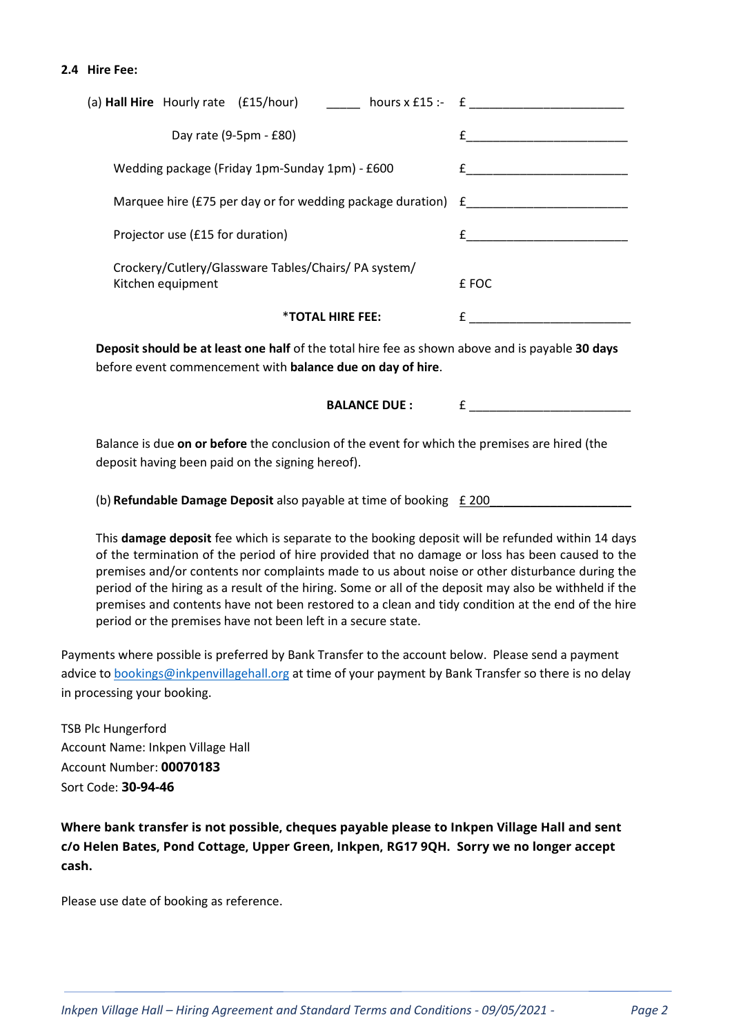#### 2.4 Hire Fee:

| (a) <b>Hall Hire</b> Hourly rate $(f15/hour)$ hours x £15 :- $f$         |       |
|--------------------------------------------------------------------------|-------|
| Day rate $(9-5pm - £80)$                                                 |       |
| Wedding package (Friday 1pm-Sunday 1pm) - £600                           |       |
| Marquee hire (£75 per day or for wedding package duration) $E$           |       |
| Projector use (£15 for duration)                                         |       |
| Crockery/Cutlery/Glassware Tables/Chairs/PA system/<br>Kitchen equipment | £ FOC |
| <b><i>*TOTAL HIRE FEE:</i></b>                                           |       |

Deposit should be at least one half of the total hire fee as shown above and is payable 30 days before event commencement with balance due on day of hire.

BALANCE DUE :  $\qquad \qquad \text{f}$ 

Balance is due on or before the conclusion of the event for which the premises are hired (the deposit having been paid on the signing hereof).

(b) Refundable Damage Deposit also payable at time of booking  $£ 200$ 

This damage deposit fee which is separate to the booking deposit will be refunded within 14 days of the termination of the period of hire provided that no damage or loss has been caused to the premises and/or contents nor complaints made to us about noise or other disturbance during the period of the hiring as a result of the hiring. Some or all of the deposit may also be withheld if the premises and contents have not been restored to a clean and tidy condition at the end of the hire period or the premises have not been left in a secure state.

Payments where possible is preferred by Bank Transfer to the account below. Please send a payment advice to bookings@inkpenvillagehall.org at time of your payment by Bank Transfer so there is no delay in processing your booking.

TSB Plc Hungerford Account Name: Inkpen Village Hall Account Number: 00070183 Sort Code: 30-94-46

Where bank transfer is not possible, cheques payable please to Inkpen Village Hall and sent c/o Helen Bates, Pond Cottage, Upper Green, Inkpen, RG17 9QH. Sorry we no longer accept cash.

Please use date of booking as reference.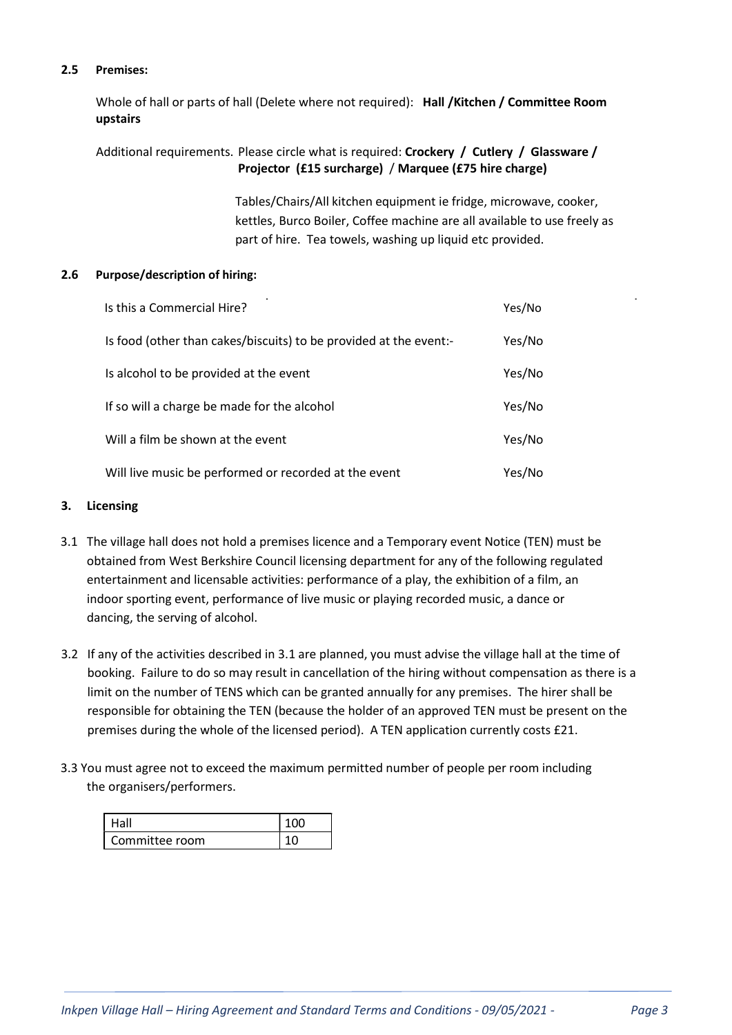# 2.5 Premises:

Whole of hall or parts of hall (Delete where not required): Hall /Kitchen / Committee Room upstairs

# Additional requirements. Please circle what is required: Crockery / Cutlery / Glassware / Projector (£15 surcharge) / Marquee (£75 hire charge)

Tables/Chairs/All kitchen equipment ie fridge, microwave, cooker, kettles, Burco Boiler, Coffee machine are all available to use freely as part of hire. Tea towels, washing up liquid etc provided.

## 2.6 Purpose/description of hiring:

| Is this a Commercial Hire?                                        | Yes/No |
|-------------------------------------------------------------------|--------|
| Is food (other than cakes/biscuits) to be provided at the event:- | Yes/No |
| Is alcohol to be provided at the event                            | Yes/No |
| If so will a charge be made for the alcohol                       | Yes/No |
| Will a film be shown at the event                                 | Yes/No |
| Will live music be performed or recorded at the event             | Yes/No |

# 3. Licensing

- 3.1 The village hall does not hold a premises licence and a Temporary event Notice (TEN) must be obtained from West Berkshire Council licensing department for any of the following regulated entertainment and licensable activities: performance of a play, the exhibition of a film, an indoor sporting event, performance of live music or playing recorded music, a dance or dancing, the serving of alcohol.
- 3.2 If any of the activities described in 3.1 are planned, you must advise the village hall at the time of booking. Failure to do so may result in cancellation of the hiring without compensation as there is a limit on the number of TENS which can be granted annually for any premises. The hirer shall be responsible for obtaining the TEN (because the holder of an approved TEN must be present on the premises during the whole of the licensed period). A TEN application currently costs £21.
- 3.3 You must agree not to exceed the maximum permitted number of people per room including the organisers/performers.

| Hall           | ∩∩ |
|----------------|----|
| Committee room |    |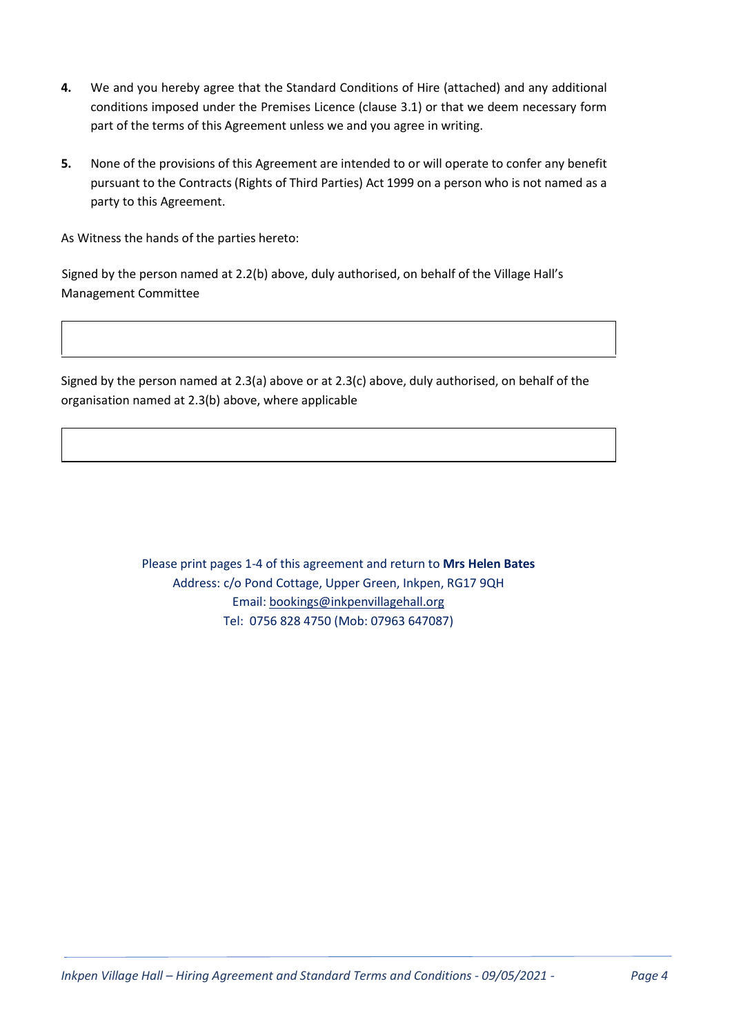- 4. We and you hereby agree that the Standard Conditions of Hire (attached) and any additional conditions imposed under the Premises Licence (clause 3.1) or that we deem necessary form part of the terms of this Agreement unless we and you agree in writing.
- 5. None of the provisions of this Agreement are intended to or will operate to confer any benefit pursuant to the Contracts (Rights of Third Parties) Act 1999 on a person who is not named as a party to this Agreement.

As Witness the hands of the parties hereto:

Signed by the person named at 2.2(b) above, duly authorised, on behalf of the Village Hall's Management Committee

Signed by the person named at 2.3(a) above or at 2.3(c) above, duly authorised, on behalf of the organisation named at 2.3(b) above, where applicable

> Please print pages 1-4 of this agreement and return to Mrs Helen Bates Address: c/o Pond Cottage, Upper Green, Inkpen, RG17 9QH Email: bookings@inkpenvillagehall.org Tel: 0756 828 4750 (Mob: 07963 647087)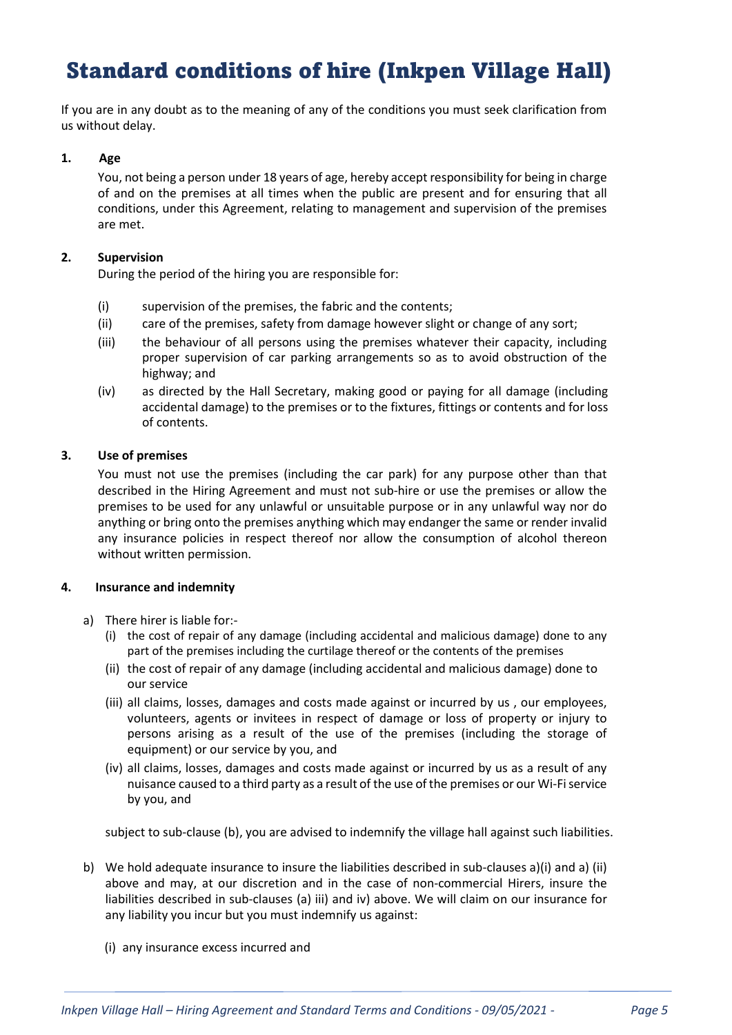# Standard conditions of hire (Inkpen Village Hall)

If you are in any doubt as to the meaning of any of the conditions you must seek clarification from us without delay.

## 1. Age

You, not being a person under 18 years of age, hereby accept responsibility for being in charge of and on the premises at all times when the public are present and for ensuring that all conditions, under this Agreement, relating to management and supervision of the premises are met.

#### 2. Supervision

During the period of the hiring you are responsible for:

- (i) supervision of the premises, the fabric and the contents;
- (ii) care of the premises, safety from damage however slight or change of any sort;
- (iii) the behaviour of all persons using the premises whatever their capacity, including proper supervision of car parking arrangements so as to avoid obstruction of the highway; and
- (iv) as directed by the Hall Secretary, making good or paying for all damage (including accidental damage) to the premises or to the fixtures, fittings or contents and for loss of contents.

#### 3. Use of premises

You must not use the premises (including the car park) for any purpose other than that described in the Hiring Agreement and must not sub-hire or use the premises or allow the premises to be used for any unlawful or unsuitable purpose or in any unlawful way nor do anything or bring onto the premises anything which may endanger the same or render invalid any insurance policies in respect thereof nor allow the consumption of alcohol thereon without written permission.

#### 4. Insurance and indemnity

- a) There hirer is liable for:-
	- (i) the cost of repair of any damage (including accidental and malicious damage) done to any part of the premises including the curtilage thereof or the contents of the premises
	- (ii) the cost of repair of any damage (including accidental and malicious damage) done to our service
	- (iii) all claims, losses, damages and costs made against or incurred by us , our employees, volunteers, agents or invitees in respect of damage or loss of property or injury to persons arising as a result of the use of the premises (including the storage of equipment) or our service by you, and
	- (iv) all claims, losses, damages and costs made against or incurred by us as a result of any nuisance caused to a third party as a result of the use of the premises or our Wi-Fi service by you, and

subject to sub-clause (b), you are advised to indemnify the village hall against such liabilities.

- b) We hold adequate insurance to insure the liabilities described in sub-clauses a)(i) and a) (ii) above and may, at our discretion and in the case of non-commercial Hirers, insure the liabilities described in sub-clauses (a) iii) and iv) above. We will claim on our insurance for any liability you incur but you must indemnify us against:
	- (i) any insurance excess incurred and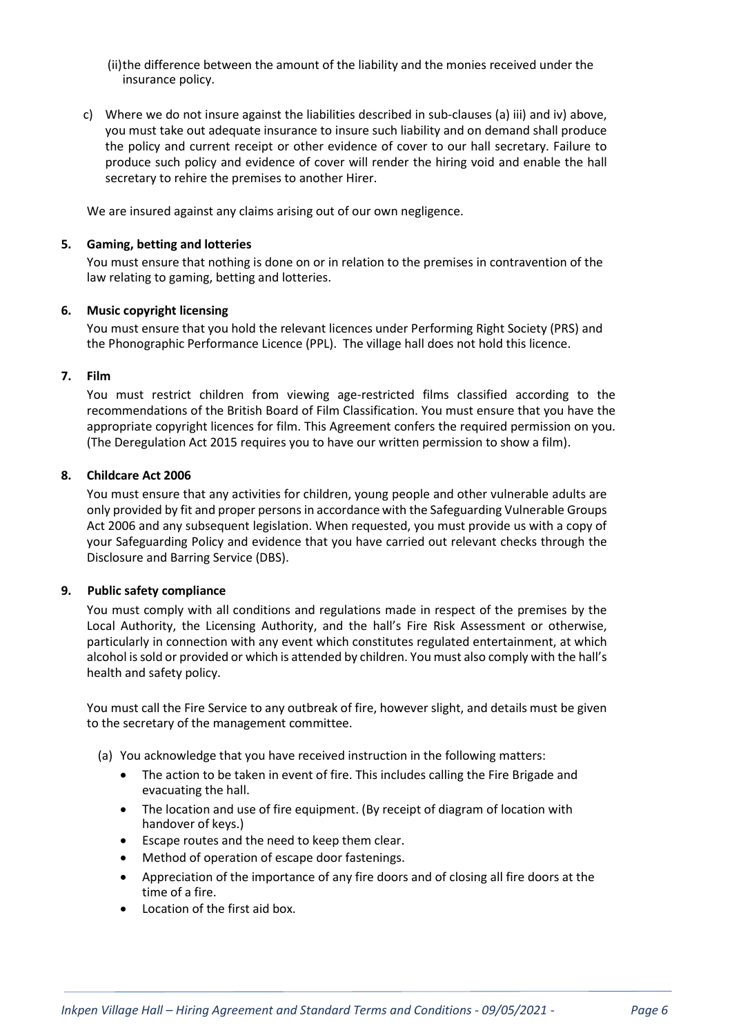(ii)the difference between the amount of the liability and the monies received under the insurance policy.

c) Where we do not insure against the liabilities described in sub-clauses (a) iii) and iv) above, you must take out adequate insurance to insure such liability and on demand shall produce the policy and current receipt or other evidence of cover to our hall secretary. Failure to produce such policy and evidence of cover will render the hiring void and enable the hall secretary to rehire the premises to another Hirer.

We are insured against any claims arising out of our own negligence.

#### 5. Gaming, betting and lotteries

You must ensure that nothing is done on or in relation to the premises in contravention of the law relating to gaming, betting and lotteries.

#### 6. Music copyright licensing

You must ensure that you hold the relevant licences under Performing Right Society (PRS) and the Phonographic Performance Licence (PPL). The village hall does not hold this licence.

#### 7. Film

You must restrict children from viewing age-restricted films classified according to the recommendations of the British Board of Film Classification. You must ensure that you have the appropriate copyright licences for film. This Agreement confers the required permission on you. (The Deregulation Act 2015 requires you to have our written permission to show a film).

#### 8. Childcare Act 2006

You must ensure that any activities for children, young people and other vulnerable adults are only provided by fit and proper persons in accordance with the Safeguarding Vulnerable Groups Act 2006 and any subsequent legislation. When requested, you must provide us with a copy of your Safeguarding Policy and evidence that you have carried out relevant checks through the Disclosure and Barring Service (DBS).

#### 9. Public safety compliance

You must comply with all conditions and regulations made in respect of the premises by the Local Authority, the Licensing Authority, and the hall's Fire Risk Assessment or otherwise, particularly in connection with any event which constitutes regulated entertainment, at which alcohol is sold or provided or which is attended by children. You must also comply with the hall's health and safety policy.

You must call the Fire Service to any outbreak of fire, however slight, and details must be given to the secretary of the management committee.

- (a) You acknowledge that you have received instruction in the following matters:
	- The action to be taken in event of fire. This includes calling the Fire Brigade and evacuating the hall.
	- The location and use of fire equipment. (By receipt of diagram of location with handover of keys.)
	- Escape routes and the need to keep them clear.
	- Method of operation of escape door fastenings.
	- Appreciation of the importance of any fire doors and of closing all fire doors at the time of a fire.
	- Location of the first aid box.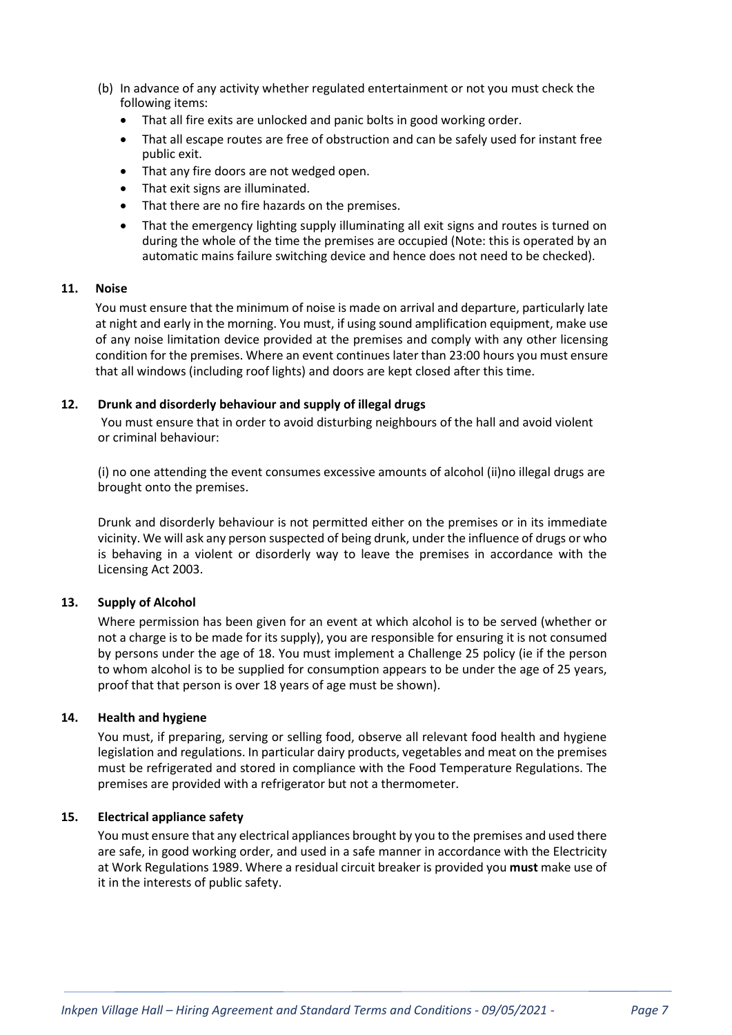- (b) In advance of any activity whether regulated entertainment or not you must check the following items:
	- That all fire exits are unlocked and panic bolts in good working order.
	- That all escape routes are free of obstruction and can be safely used for instant free public exit.
	- That any fire doors are not wedged open.
	- That exit signs are illuminated.
	- That there are no fire hazards on the premises.
	- That the emergency lighting supply illuminating all exit signs and routes is turned on during the whole of the time the premises are occupied (Note: this is operated by an automatic mains failure switching device and hence does not need to be checked).

## 11. Noise

You must ensure that the minimum of noise is made on arrival and departure, particularly late at night and early in the morning. You must, if using sound amplification equipment, make use of any noise limitation device provided at the premises and comply with any other licensing condition for the premises. Where an event continues later than 23:00 hours you must ensure that all windows (including roof lights) and doors are kept closed after this time.

## 12. Drunk and disorderly behaviour and supply of illegal drugs

You must ensure that in order to avoid disturbing neighbours of the hall and avoid violent or criminal behaviour:

(i) no one attending the event consumes excessive amounts of alcohol (ii)no illegal drugs are brought onto the premises.

Drunk and disorderly behaviour is not permitted either on the premises or in its immediate vicinity. We will ask any person suspected of being drunk, under the influence of drugs or who is behaving in a violent or disorderly way to leave the premises in accordance with the Licensing Act 2003.

## 13. Supply of Alcohol

Where permission has been given for an event at which alcohol is to be served (whether or not a charge is to be made for its supply), you are responsible for ensuring it is not consumed by persons under the age of 18. You must implement a Challenge 25 policy (ie if the person to whom alcohol is to be supplied for consumption appears to be under the age of 25 years, proof that that person is over 18 years of age must be shown).

## 14. Health and hygiene

You must, if preparing, serving or selling food, observe all relevant food health and hygiene legislation and regulations. In particular dairy products, vegetables and meat on the premises must be refrigerated and stored in compliance with the Food Temperature Regulations. The premises are provided with a refrigerator but not a thermometer.

## 15. Electrical appliance safety

You must ensure that any electrical appliances brought by you to the premises and used there are safe, in good working order, and used in a safe manner in accordance with the Electricity at Work Regulations 1989. Where a residual circuit breaker is provided you must make use of it in the interests of public safety.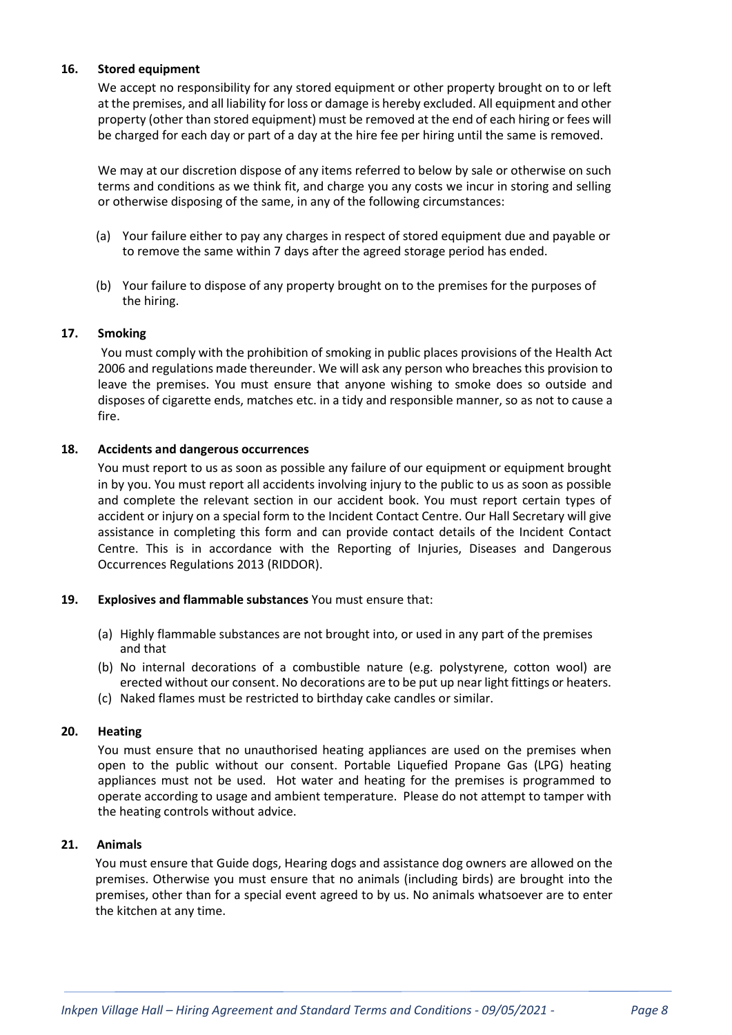## 16. Stored equipment

We accept no responsibility for any stored equipment or other property brought on to or left at the premises, and all liability for loss or damage is hereby excluded. All equipment and other property (other than stored equipment) must be removed at the end of each hiring or fees will be charged for each day or part of a day at the hire fee per hiring until the same is removed.

We may at our discretion dispose of any items referred to below by sale or otherwise on such terms and conditions as we think fit, and charge you any costs we incur in storing and selling or otherwise disposing of the same, in any of the following circumstances:

- (a) Your failure either to pay any charges in respect of stored equipment due and payable or to remove the same within 7 days after the agreed storage period has ended.
- (b) Your failure to dispose of any property brought on to the premises for the purposes of the hiring.

## 17. Smoking

You must comply with the prohibition of smoking in public places provisions of the Health Act 2006 and regulations made thereunder. We will ask any person who breaches this provision to leave the premises. You must ensure that anyone wishing to smoke does so outside and disposes of cigarette ends, matches etc. in a tidy and responsible manner, so as not to cause a fire.

#### 18. Accidents and dangerous occurrences

You must report to us as soon as possible any failure of our equipment or equipment brought in by you. You must report all accidents involving injury to the public to us as soon as possible and complete the relevant section in our accident book. You must report certain types of accident or injury on a special form to the Incident Contact Centre. Our Hall Secretary will give assistance in completing this form and can provide contact details of the Incident Contact Centre. This is in accordance with the Reporting of Injuries, Diseases and Dangerous Occurrences Regulations 2013 (RIDDOR).

## 19. Explosives and flammable substances You must ensure that:

- (a) Highly flammable substances are not brought into, or used in any part of the premises and that
- (b) No internal decorations of a combustible nature (e.g. polystyrene, cotton wool) are erected without our consent. No decorations are to be put up near light fittings or heaters.
- (c) Naked flames must be restricted to birthday cake candles or similar.

#### 20. Heating

You must ensure that no unauthorised heating appliances are used on the premises when open to the public without our consent. Portable Liquefied Propane Gas (LPG) heating appliances must not be used. Hot water and heating for the premises is programmed to operate according to usage and ambient temperature. Please do not attempt to tamper with the heating controls without advice.

#### 21. Animals

You must ensure that Guide dogs, Hearing dogs and assistance dog owners are allowed on the premises. Otherwise you must ensure that no animals (including birds) are brought into the premises, other than for a special event agreed to by us. No animals whatsoever are to enter the kitchen at any time.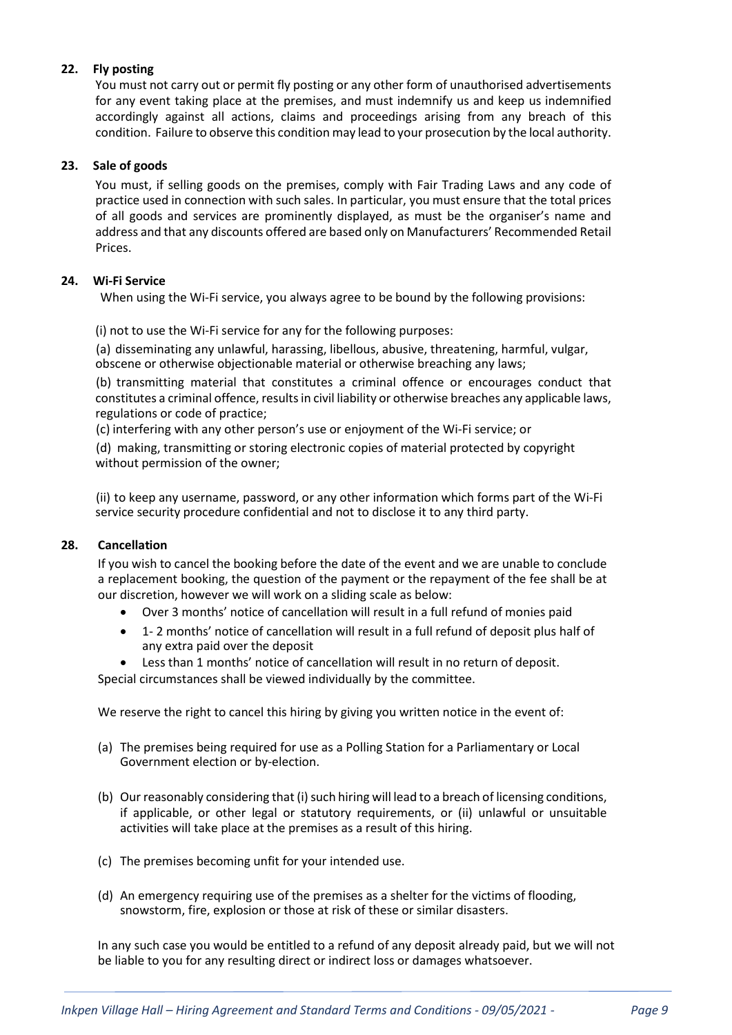# 22. Fly posting

You must not carry out or permit fly posting or any other form of unauthorised advertisements for any event taking place at the premises, and must indemnify us and keep us indemnified accordingly against all actions, claims and proceedings arising from any breach of this condition. Failure to observe this condition may lead to your prosecution by the local authority.

## 23. Sale of goods

You must, if selling goods on the premises, comply with Fair Trading Laws and any code of practice used in connection with such sales. In particular, you must ensure that the total prices of all goods and services are prominently displayed, as must be the organiser's name and address and that any discounts offered are based only on Manufacturers' Recommended Retail Prices.

## 24. Wi-Fi Service

When using the Wi-Fi service, you always agree to be bound by the following provisions:

(i) not to use the Wi-Fi service for any for the following purposes:

(a) disseminating any unlawful, harassing, libellous, abusive, threatening, harmful, vulgar, obscene or otherwise objectionable material or otherwise breaching any laws;

(b) transmitting material that constitutes a criminal offence or encourages conduct that constitutes a criminal offence, results in civil liability or otherwise breaches any applicable laws, regulations or code of practice;

(c) interfering with any other person's use or enjoyment of the Wi-Fi service; or

(d) making, transmitting or storing electronic copies of material protected by copyright without permission of the owner;

(ii) to keep any username, password, or any other information which forms part of the Wi-Fi service security procedure confidential and not to disclose it to any third party.

## 28. Cancellation

If you wish to cancel the booking before the date of the event and we are unable to conclude a replacement booking, the question of the payment or the repayment of the fee shall be at our discretion, however we will work on a sliding scale as below:

- Over 3 months' notice of cancellation will result in a full refund of monies paid
- 1- 2 months' notice of cancellation will result in a full refund of deposit plus half of any extra paid over the deposit
- Less than 1 months' notice of cancellation will result in no return of deposit.

Special circumstances shall be viewed individually by the committee.

We reserve the right to cancel this hiring by giving you written notice in the event of:

- (a) The premises being required for use as a Polling Station for a Parliamentary or Local Government election or by-election.
- (b) Our reasonably considering that (i) such hiring will lead to a breach of licensing conditions, if applicable, or other legal or statutory requirements, or (ii) unlawful or unsuitable activities will take place at the premises as a result of this hiring.
- (c) The premises becoming unfit for your intended use.
- (d) An emergency requiring use of the premises as a shelter for the victims of flooding, snowstorm, fire, explosion or those at risk of these or similar disasters.

In any such case you would be entitled to a refund of any deposit already paid, but we will not be liable to you for any resulting direct or indirect loss or damages whatsoever.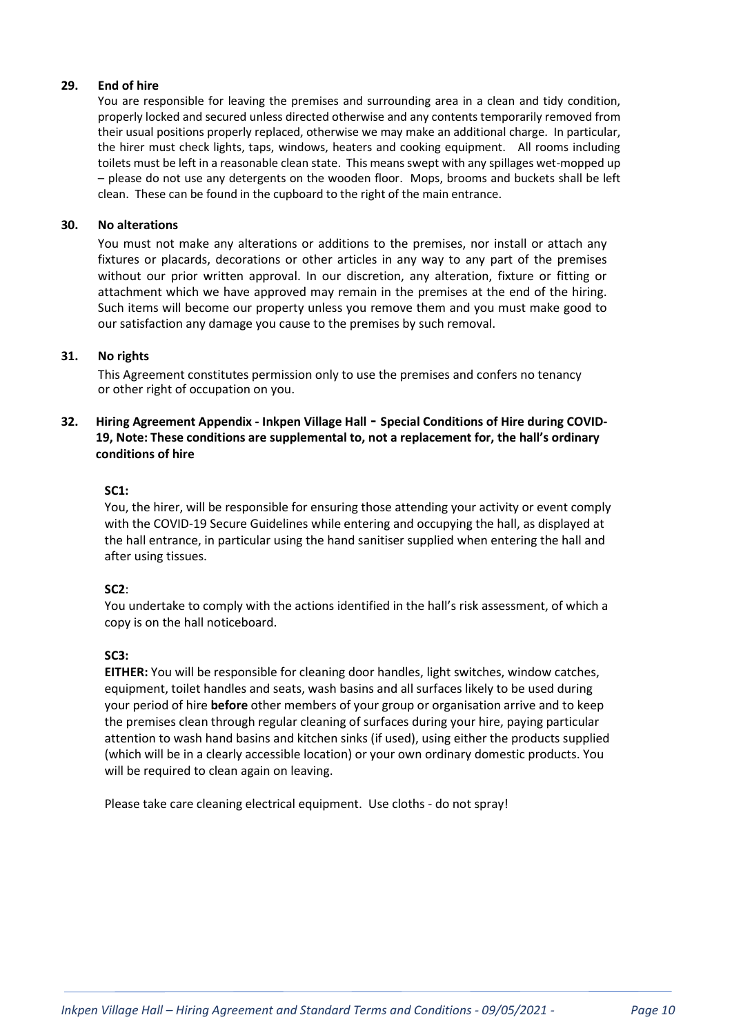# 29. End of hire

You are responsible for leaving the premises and surrounding area in a clean and tidy condition, properly locked and secured unless directed otherwise and any contents temporarily removed from their usual positions properly replaced, otherwise we may make an additional charge. In particular, the hirer must check lights, taps, windows, heaters and cooking equipment. All rooms including toilets must be left in a reasonable clean state. This means swept with any spillages wet-mopped up – please do not use any detergents on the wooden floor. Mops, brooms and buckets shall be left clean. These can be found in the cupboard to the right of the main entrance.

## 30. No alterations

You must not make any alterations or additions to the premises, nor install or attach any fixtures or placards, decorations or other articles in any way to any part of the premises without our prior written approval. In our discretion, any alteration, fixture or fitting or attachment which we have approved may remain in the premises at the end of the hiring. Such items will become our property unless you remove them and you must make good to our satisfaction any damage you cause to the premises by such removal.

# 31. No rights

This Agreement constitutes permission only to use the premises and confers no tenancy or other right of occupation on you.

# 32. Hiring Agreement Appendix - Inkpen Village Hall - Special Conditions of Hire during COVID-19, Note: These conditions are supplemental to, not a replacement for, the hall's ordinary conditions of hire

## SC1:

You, the hirer, will be responsible for ensuring those attending your activity or event comply with the COVID-19 Secure Guidelines while entering and occupying the hall, as displayed at the hall entrance, in particular using the hand sanitiser supplied when entering the hall and after using tissues.

## SC2:

You undertake to comply with the actions identified in the hall's risk assessment, of which a copy is on the hall noticeboard.

## SC<sub>3</sub>:

EITHER: You will be responsible for cleaning door handles, light switches, window catches, equipment, toilet handles and seats, wash basins and all surfaces likely to be used during your period of hire before other members of your group or organisation arrive and to keep the premises clean through regular cleaning of surfaces during your hire, paying particular attention to wash hand basins and kitchen sinks (if used), using either the products supplied (which will be in a clearly accessible location) or your own ordinary domestic products. You will be required to clean again on leaving.

Please take care cleaning electrical equipment. Use cloths - do not spray!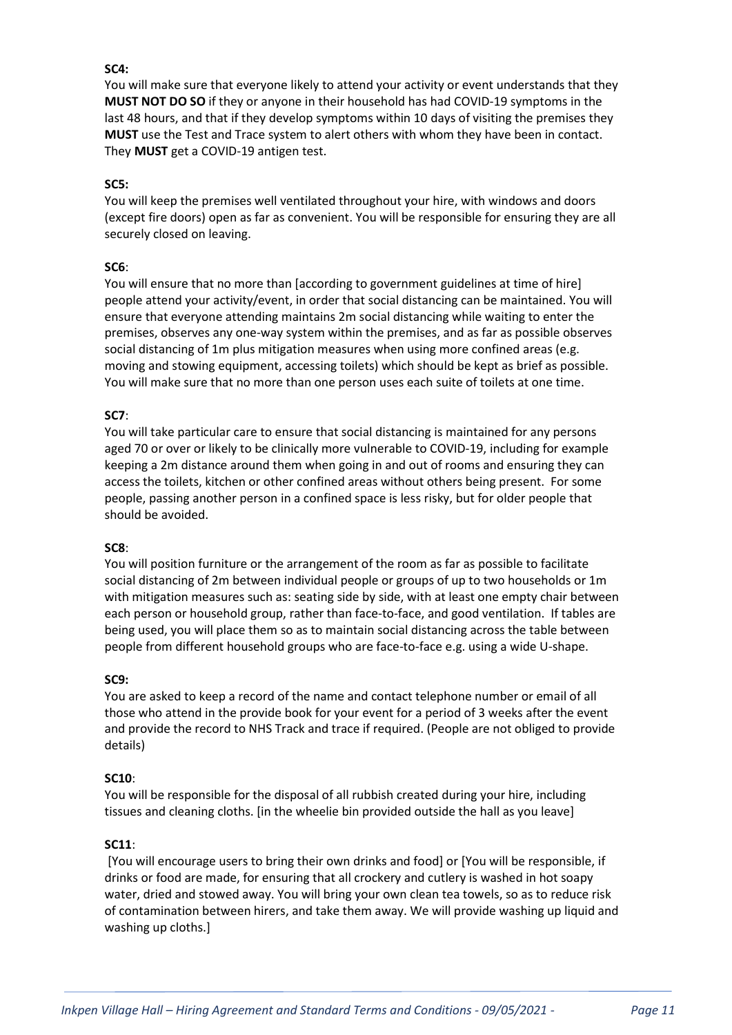# SC4:

You will make sure that everyone likely to attend your activity or event understands that they MUST NOT DO SO if they or anyone in their household has had COVID-19 symptoms in the last 48 hours, and that if they develop symptoms within 10 days of visiting the premises they MUST use the Test and Trace system to alert others with whom they have been in contact. They MUST get a COVID-19 antigen test.

## SC5:

You will keep the premises well ventilated throughout your hire, with windows and doors (except fire doors) open as far as convenient. You will be responsible for ensuring they are all securely closed on leaving.

# SC6:

You will ensure that no more than [according to government guidelines at time of hire] people attend your activity/event, in order that social distancing can be maintained. You will ensure that everyone attending maintains 2m social distancing while waiting to enter the premises, observes any one-way system within the premises, and as far as possible observes social distancing of 1m plus mitigation measures when using more confined areas (e.g. moving and stowing equipment, accessing toilets) which should be kept as brief as possible. You will make sure that no more than one person uses each suite of toilets at one time.

## SC7:

You will take particular care to ensure that social distancing is maintained for any persons aged 70 or over or likely to be clinically more vulnerable to COVID-19, including for example keeping a 2m distance around them when going in and out of rooms and ensuring they can access the toilets, kitchen or other confined areas without others being present. For some people, passing another person in a confined space is less risky, but for older people that should be avoided.

## SC8:

You will position furniture or the arrangement of the room as far as possible to facilitate social distancing of 2m between individual people or groups of up to two households or 1m with mitigation measures such as: seating side by side, with at least one empty chair between each person or household group, rather than face-to-face, and good ventilation. If tables are being used, you will place them so as to maintain social distancing across the table between people from different household groups who are face-to-face e.g. using a wide U-shape.

## SC9:

You are asked to keep a record of the name and contact telephone number or email of all those who attend in the provide book for your event for a period of 3 weeks after the event and provide the record to NHS Track and trace if required. (People are not obliged to provide details)

## SC10:

You will be responsible for the disposal of all rubbish created during your hire, including tissues and cleaning cloths. [in the wheelie bin provided outside the hall as you leave]

## SC11:

 [You will encourage users to bring their own drinks and food] or [You will be responsible, if drinks or food are made, for ensuring that all crockery and cutlery is washed in hot soapy water, dried and stowed away. You will bring your own clean tea towels, so as to reduce risk of contamination between hirers, and take them away. We will provide washing up liquid and washing up cloths.]